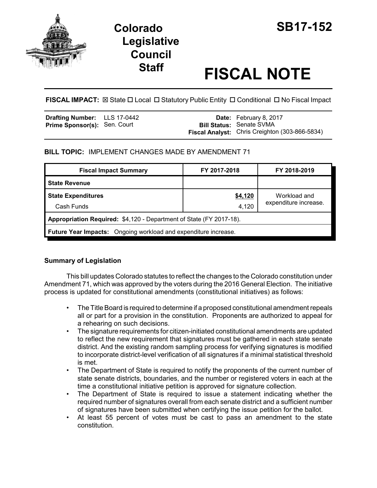

# **Colorado SB17-152 Legislative Council**

# **Staff FISCAL NOTE**

FISCAL IMPACT:  $\boxtimes$  State  $\Box$  Local  $\Box$  Statutory Public Entity  $\Box$  Conditional  $\Box$  No Fiscal Impact

| <b>Drafting Number:</b> LLS 17-0442 |  | <b>Date:</b> February 8, 2017                         |
|-------------------------------------|--|-------------------------------------------------------|
| <b>Prime Sponsor(s): Sen. Court</b> |  | <b>Bill Status: Senate SVMA</b>                       |
|                                     |  | <b>Fiscal Analyst:</b> Chris Creighton (303-866-5834) |

## **BILL TOPIC:** IMPLEMENT CHANGES MADE BY AMENDMENT 71

| <b>Fiscal Impact Summary</b>                                        | FY 2017-2018 | FY 2018-2019          |  |  |  |
|---------------------------------------------------------------------|--------------|-----------------------|--|--|--|
| <b>State Revenue</b>                                                |              |                       |  |  |  |
| <b>State Expenditures</b>                                           | \$4,120      | Workload and          |  |  |  |
| Cash Funds                                                          | 4,120        | expenditure increase. |  |  |  |
| Appropriation Required: \$4,120 - Department of State (FY 2017-18). |              |                       |  |  |  |
| Future Year Impacts: Ongoing workload and expenditure increase.     |              |                       |  |  |  |

### **Summary of Legislation**

This bill updates Colorado statutes to reflect the changes to the Colorado constitution under Amendment 71, which was approved by the voters during the 2016 General Election. The initiative process is updated for constitutional amendments (constitutional initiatives) as follows:

- The Title Board is required to determine if a proposed constitutional amendment repeals all or part for a provision in the constitution. Proponents are authorized to appeal for a rehearing on such decisions.
- The signature requirements for citizen-initiated constitutional amendments are updated to reflect the new requirement that signatures must be gathered in each state senate district. And the existing random sampling process for verifying signatures is modified to incorporate district-level verification of all signatures if a minimal statistical threshold is met.
- The Department of State is required to notify the proponents of the current number of state senate districts, boundaries, and the number or registered voters in each at the time a constitutional initiative petition is approved for signature collection.
- The Department of State is required to issue a statement indicating whether the required number of signatures overall from each senate district and a sufficient number of signatures have been submitted when certifying the issue petition for the ballot.
- At least 55 percent of votes must be cast to pass an amendment to the state constitution.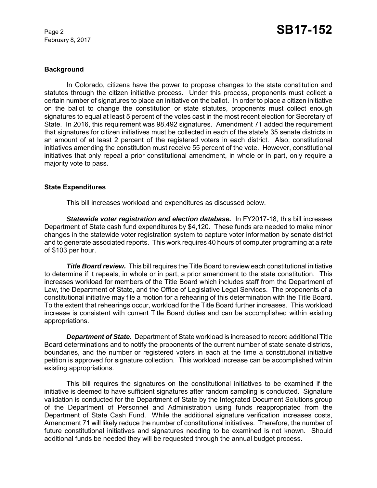February 8, 2017

#### **Background**

In Colorado, citizens have the power to propose changes to the state constitution and statutes through the citizen initiative process. Under this process, proponents must collect a certain number of signatures to place an initiative on the ballot. In order to place a citizen initiative on the ballot to change the constitution or state statutes, proponents must collect enough signatures to equal at least 5 percent of the votes cast in the most recent election for Secretary of State. In 2016, this requirement was 98,492 signatures. Amendment 71 added the requirement that signatures for citizen initiatives must be collected in each of the state's 35 senate districts in an amount of at least 2 percent of the registered voters in each district. Also, constitutional initiatives amending the constitution must receive 55 percent of the vote. However, constitutional initiatives that only repeal a prior constitutional amendment, in whole or in part, only require a majority vote to pass.

#### **State Expenditures**

This bill increases workload and expenditures as discussed below.

**Statewide voter registration and election database.** In FY2017-18, this bill increases Department of State cash fund expenditures by \$4,120. These funds are needed to make minor changes in the statewide voter registration system to capture voter information by senate district and to generate associated reports. This work requires 40 hours of computer programing at a rate of \$103 per hour.

*Title Board review.* This bill requires the Title Board to review each constitutional initiative to determine if it repeals, in whole or in part, a prior amendment to the state constitution. This increases workload for members of the Title Board which includes staff from the Department of Law, the Department of State, and the Office of Legislative Legal Services. The proponents of a constitutional initiative may file a motion for a rehearing of this determination with the Title Board. To the extent that rehearings occur, workload for the Title Board further increases. This workload increase is consistent with current Title Board duties and can be accomplished within existing appropriations.

*Department of State.* Department of State workload is increased to record additional Title Board determinations and to notify the proponents of the current number of state senate districts, boundaries, and the number or registered voters in each at the time a constitutional initiative petition is approved for signature collection. This workload increase can be accomplished within existing appropriations.

This bill requires the signatures on the constitutional initiatives to be examined if the initiative is deemed to have sufficient signatures after random sampling is conducted. Signature validation is conducted for the Department of State by the Integrated Document Solutions group of the Department of Personnel and Administration using funds reappropriated from the Department of State Cash Fund. While the additional signature verification increases costs, Amendment 71 will likely reduce the number of constitutional initiatives. Therefore, the number of future constitutional initiatives and signatures needing to be examined is not known. Should additional funds be needed they will be requested through the annual budget process.